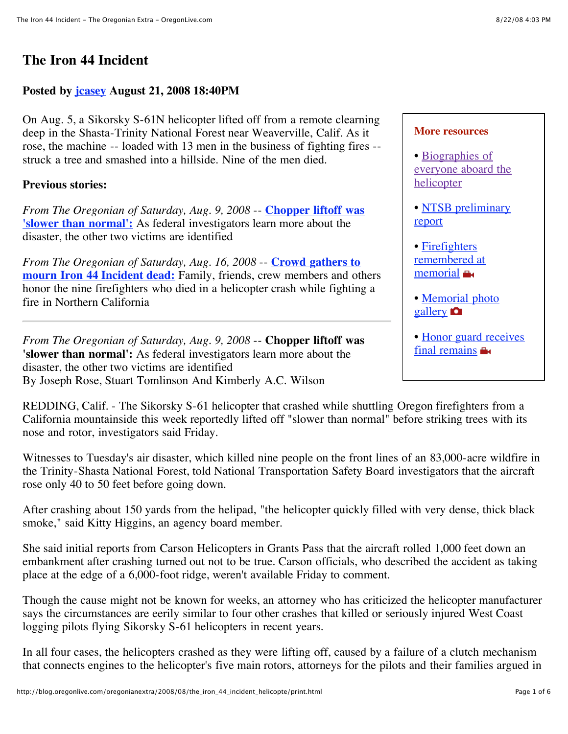# **The Iron 44 Incident**

### **Posted by [jcasey](http://blog.oregonlive.com/oregonianextra/about.html) August 21, 2008 18:40PM**

On Aug. 5, a Sikorsky S-61N helicopter lifted off from a remote clearning deep in the Shasta-Trinity National Forest near Weaverville, Calif. As it rose, the machine -- loaded with 13 men in the business of fighting fires - struck a tree and smashed into a hillside. Nine of the men died.

#### **Previous stories:**

*[From The Oregonian of Saturday, Aug. 9, 2008](http://blog.oregonlive.com/oregonianextra/2008/08/the_iron_44_incident_helicopte.html#1)* -- **Chopper liftoff was 'slower than normal':** As federal investigators learn more about the disaster, the other two victims are identified

*[From The Oregonian of Saturday, Aug. 16, 2008](http://blog.oregonlive.com/oregonianextra/2008/08/the_iron_44_incident_helicopte.html#2)* -- **Crowd gathers to mourn Iron 44 Incident dead:** Family, friends, crew members and others honor the nine firefighters who died in a helicopter crash while fighting a fire in Northern California

*From The Oregonian of Saturday, Aug. 9, 2008* -- **Chopper liftoff was 'slower than normal':** As federal investigators learn more about the disaster, the other two victims are identified By Joseph Rose, Stuart Tomlinson And Kimberly A.C. Wilson

REDDING, Calif. - The Sikorsky S-61 helicopter that crashed while shuttling Oregon firefighters from a California mountainside this week reportedly lifted off "slower than normal" before striking trees with its nose and rotor, investigators said Friday.

Witnesses to Tuesday's air disaster, which killed nine people on the front lines of an 83,000-acre wildfire in the Trinity-Shasta National Forest, told National Transportation Safety Board investigators that the aircraft rose only 40 to 50 feet before going down.

After crashing about 150 yards from the helipad, "the helicopter quickly filled with very dense, thick black smoke," said Kitty Higgins, an agency board member.

She said initial reports from Carson Helicopters in Grants Pass that the aircraft rolled 1,000 feet down an embankment after crashing turned out not to be true. Carson officials, who described the accident as taking place at the edge of a 6,000-foot ridge, weren't available Friday to comment.

Though the cause might not be known for weeks, an attorney who has criticized the helicopter manufacturer says the circumstances are eerily similar to four other crashes that killed or seriously injured West Coast logging pilots flying Sikorsky S-61 helicopters in recent years.

In all four cases, the helicopters crashed as they were lifting off, caused by a failure of a clutch mechanism that connects engines to the helicopter's five main rotors, attorneys for the pilots and their families argued in

| <b>More resources</b>                                  |
|--------------------------------------------------------|
| • Biographies of<br>everyone aboard the<br>helicopter  |
| • NTSB preliminary<br>report                           |
| · Firefighters<br>remembered at<br>memorial <b>a</b>   |
| · Memorial photo<br>gallery <b>n</b>                   |
| • Honor guard receives<br>final remains $\blacksquare$ |
|                                                        |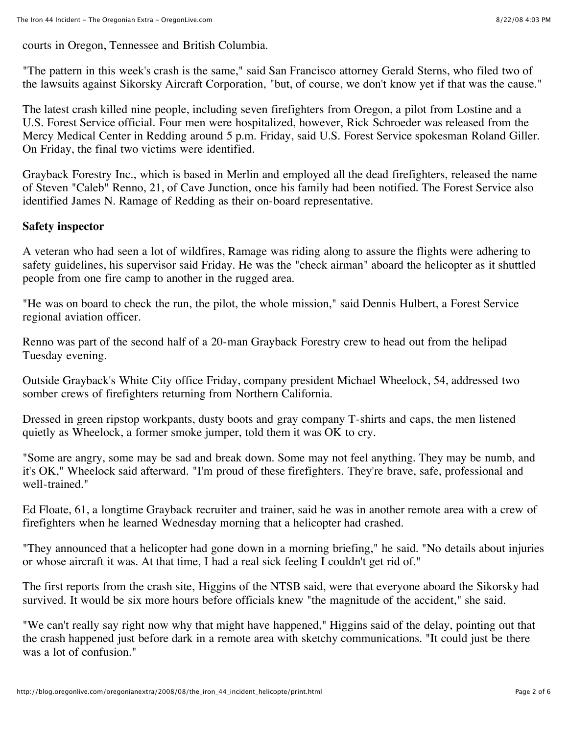courts in Oregon, Tennessee and British Columbia.

"The pattern in this week's crash is the same," said San Francisco attorney Gerald Sterns, who filed two of the lawsuits against Sikorsky Aircraft Corporation, "but, of course, we don't know yet if that was the cause."

The latest crash killed nine people, including seven firefighters from Oregon, a pilot from Lostine and a U.S. Forest Service official. Four men were hospitalized, however, Rick Schroeder was released from the Mercy Medical Center in Redding around 5 p.m. Friday, said U.S. Forest Service spokesman Roland Giller. On Friday, the final two victims were identified.

Grayback Forestry Inc., which is based in Merlin and employed all the dead firefighters, released the name of Steven "Caleb" Renno, 21, of Cave Junction, once his family had been notified. The Forest Service also identified James N. Ramage of Redding as their on-board representative.

### **Safety inspector**

A veteran who had seen a lot of wildfires, Ramage was riding along to assure the flights were adhering to safety guidelines, his supervisor said Friday. He was the "check airman" aboard the helicopter as it shuttled people from one fire camp to another in the rugged area.

"He was on board to check the run, the pilot, the whole mission," said Dennis Hulbert, a Forest Service regional aviation officer.

Renno was part of the second half of a 20-man Grayback Forestry crew to head out from the helipad Tuesday evening.

Outside Grayback's White City office Friday, company president Michael Wheelock, 54, addressed two somber crews of firefighters returning from Northern California.

Dressed in green ripstop workpants, dusty boots and gray company T-shirts and caps, the men listened quietly as Wheelock, a former smoke jumper, told them it was OK to cry.

"Some are angry, some may be sad and break down. Some may not feel anything. They may be numb, and it's OK," Wheelock said afterward. "I'm proud of these firefighters. They're brave, safe, professional and well-trained."

Ed Floate, 61, a longtime Grayback recruiter and trainer, said he was in another remote area with a crew of firefighters when he learned Wednesday morning that a helicopter had crashed.

"They announced that a helicopter had gone down in a morning briefing," he said. "No details about injuries or whose aircraft it was. At that time, I had a real sick feeling I couldn't get rid of."

The first reports from the crash site, Higgins of the NTSB said, were that everyone aboard the Sikorsky had survived. It would be six more hours before officials knew "the magnitude of the accident," she said.

"We can't really say right now why that might have happened," Higgins said of the delay, pointing out that the crash happened just before dark in a remote area with sketchy communications. "It could just be there was a lot of confusion."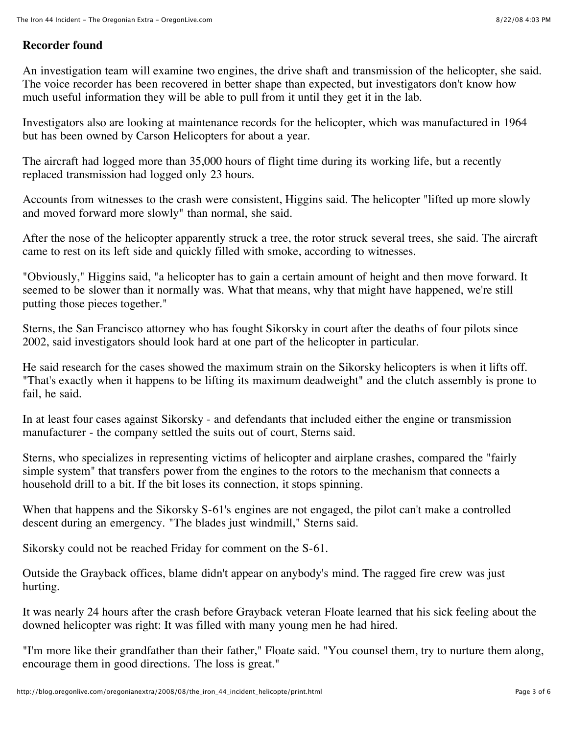## **Recorder found**

An investigation team will examine two engines, the drive shaft and transmission of the helicopter, she said. The voice recorder has been recovered in better shape than expected, but investigators don't know how much useful information they will be able to pull from it until they get it in the lab.

Investigators also are looking at maintenance records for the helicopter, which was manufactured in 1964 but has been owned by Carson Helicopters for about a year.

The aircraft had logged more than 35,000 hours of flight time during its working life, but a recently replaced transmission had logged only 23 hours.

Accounts from witnesses to the crash were consistent, Higgins said. The helicopter "lifted up more slowly and moved forward more slowly" than normal, she said.

After the nose of the helicopter apparently struck a tree, the rotor struck several trees, she said. The aircraft came to rest on its left side and quickly filled with smoke, according to witnesses.

"Obviously," Higgins said, "a helicopter has to gain a certain amount of height and then move forward. It seemed to be slower than it normally was. What that means, why that might have happened, we're still putting those pieces together."

Sterns, the San Francisco attorney who has fought Sikorsky in court after the deaths of four pilots since 2002, said investigators should look hard at one part of the helicopter in particular.

He said research for the cases showed the maximum strain on the Sikorsky helicopters is when it lifts off. "That's exactly when it happens to be lifting its maximum deadweight" and the clutch assembly is prone to fail, he said.

In at least four cases against Sikorsky - and defendants that included either the engine or transmission manufacturer - the company settled the suits out of court, Sterns said.

Sterns, who specializes in representing victims of helicopter and airplane crashes, compared the "fairly simple system" that transfers power from the engines to the rotors to the mechanism that connects a household drill to a bit. If the bit loses its connection, it stops spinning.

When that happens and the Sikorsky S-61's engines are not engaged, the pilot can't make a controlled descent during an emergency. "The blades just windmill," Sterns said.

Sikorsky could not be reached Friday for comment on the S-61.

Outside the Grayback offices, blame didn't appear on anybody's mind. The ragged fire crew was just hurting.

It was nearly 24 hours after the crash before Grayback veteran Floate learned that his sick feeling about the downed helicopter was right: It was filled with many young men he had hired.

"I'm more like their grandfather than their father," Floate said. "You counsel them, try to nurture them along, encourage them in good directions. The loss is great."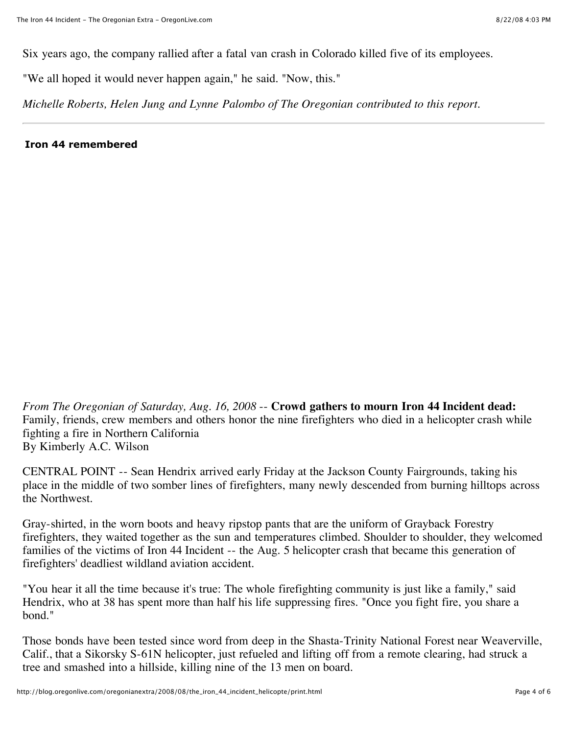Six years ago, the company rallied after a fatal van crash in Colorado killed five of its employees.

"We all hoped it would never happen again," he said. "Now, this."

*Michelle Roberts, Helen Jung and Lynne Palombo of The Oregonian contributed to this report.*

**Iron 44 remembered**

*From The Oregonian of Saturday, Aug. 16, 2008* -- **Crowd gathers to mourn Iron 44 Incident dead:** Family, friends, crew members and others honor the nine firefighters who died in a helicopter crash while fighting a fire in Northern California By Kimberly A.C. Wilson

CENTRAL POINT -- Sean Hendrix arrived early Friday at the Jackson County Fairgrounds, taking his place in the middle of two somber lines of firefighters, many newly descended from burning hilltops across the Northwest.

Gray-shirted, in the worn boots and heavy ripstop pants that are the uniform of Grayback Forestry firefighters, they waited together as the sun and temperatures climbed. Shoulder to shoulder, they welcomed families of the victims of Iron 44 Incident -- the Aug. 5 helicopter crash that became this generation of firefighters' deadliest wildland aviation accident.

"You hear it all the time because it's true: The whole firefighting community is just like a family," said Hendrix, who at 38 has spent more than half his life suppressing fires. "Once you fight fire, you share a bond."

Those bonds have been tested since word from deep in the Shasta-Trinity National Forest near Weaverville, Calif., that a Sikorsky S-61N helicopter, just refueled and lifting off from a remote clearing, had struck a tree and smashed into a hillside, killing nine of the 13 men on board.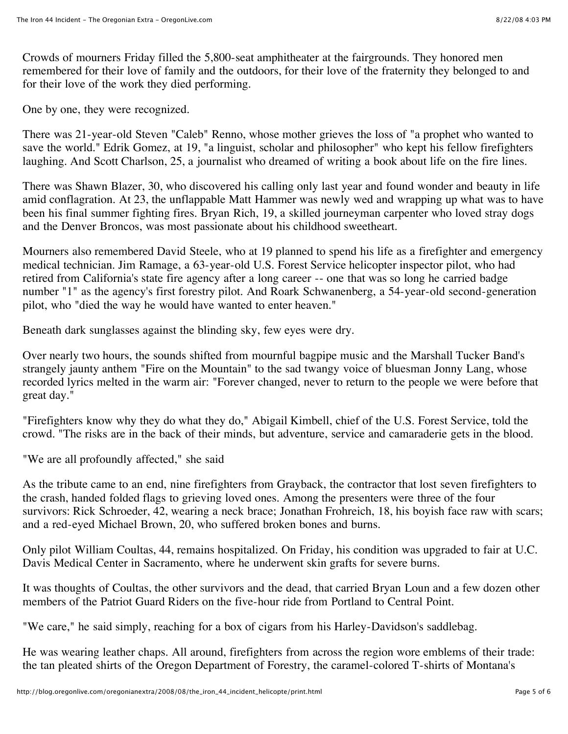Crowds of mourners Friday filled the 5,800-seat amphitheater at the fairgrounds. They honored men remembered for their love of family and the outdoors, for their love of the fraternity they belonged to and for their love of the work they died performing.

One by one, they were recognized.

There was 21-year-old Steven "Caleb" Renno, whose mother grieves the loss of "a prophet who wanted to save the world." Edrik Gomez, at 19, "a linguist, scholar and philosopher" who kept his fellow firefighters laughing. And Scott Charlson, 25, a journalist who dreamed of writing a book about life on the fire lines.

There was Shawn Blazer, 30, who discovered his calling only last year and found wonder and beauty in life amid conflagration. At 23, the unflappable Matt Hammer was newly wed and wrapping up what was to have been his final summer fighting fires. Bryan Rich, 19, a skilled journeyman carpenter who loved stray dogs and the Denver Broncos, was most passionate about his childhood sweetheart.

Mourners also remembered David Steele, who at 19 planned to spend his life as a firefighter and emergency medical technician. Jim Ramage, a 63-year-old U.S. Forest Service helicopter inspector pilot, who had retired from California's state fire agency after a long career -- one that was so long he carried badge number "1" as the agency's first forestry pilot. And Roark Schwanenberg, a 54-year-old second-generation pilot, who "died the way he would have wanted to enter heaven."

Beneath dark sunglasses against the blinding sky, few eyes were dry.

Over nearly two hours, the sounds shifted from mournful bagpipe music and the Marshall Tucker Band's strangely jaunty anthem "Fire on the Mountain" to the sad twangy voice of bluesman Jonny Lang, whose recorded lyrics melted in the warm air: "Forever changed, never to return to the people we were before that great day."

"Firefighters know why they do what they do," Abigail Kimbell, chief of the U.S. Forest Service, told the crowd. "The risks are in the back of their minds, but adventure, service and camaraderie gets in the blood.

"We are all profoundly affected," she said

As the tribute came to an end, nine firefighters from Grayback, the contractor that lost seven firefighters to the crash, handed folded flags to grieving loved ones. Among the presenters were three of the four survivors: Rick Schroeder, 42, wearing a neck brace; Jonathan Frohreich, 18, his boyish face raw with scars; and a red-eyed Michael Brown, 20, who suffered broken bones and burns.

Only pilot William Coultas, 44, remains hospitalized. On Friday, his condition was upgraded to fair at U.C. Davis Medical Center in Sacramento, where he underwent skin grafts for severe burns.

It was thoughts of Coultas, the other survivors and the dead, that carried Bryan Loun and a few dozen other members of the Patriot Guard Riders on the five-hour ride from Portland to Central Point.

"We care," he said simply, reaching for a box of cigars from his Harley-Davidson's saddlebag.

He was wearing leather chaps. All around, firefighters from across the region wore emblems of their trade: the tan pleated shirts of the Oregon Department of Forestry, the caramel-colored T-shirts of Montana's